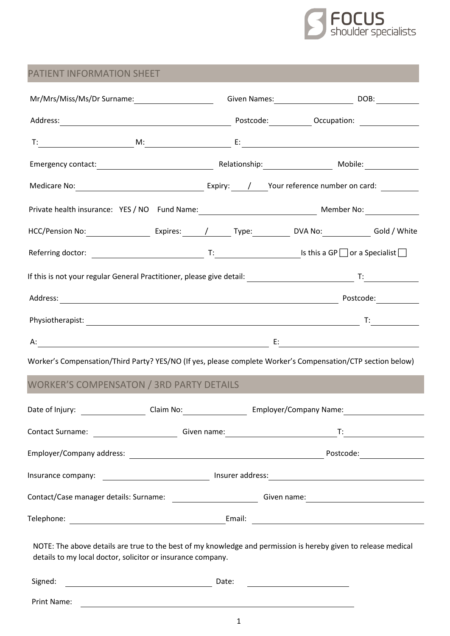

## PATIENT INFORMATION SHEET

| Mr/Mrs/Miss/Ms/Dr Surname: Camera Collection Control Civen Names: Camera Control Control Control Control Contr<br>Control Civen Names: Control Control Control Control Control Control Control Control Control Control Control C |                                         |             |                                                             |                              |
|----------------------------------------------------------------------------------------------------------------------------------------------------------------------------------------------------------------------------------|-----------------------------------------|-------------|-------------------------------------------------------------|------------------------------|
| Address: 2000 March 2010 March 2010 March 2010 March 2010 March 2010 March 2010 March 2010 March 2010 March 20                                                                                                                   |                                         |             |                                                             |                              |
|                                                                                                                                                                                                                                  |                                         |             |                                                             |                              |
|                                                                                                                                                                                                                                  |                                         |             |                                                             |                              |
|                                                                                                                                                                                                                                  |                                         |             |                                                             |                              |
| Private health insurance: YES / NO Fund Name: Mannered and Member No: Member No:                                                                                                                                                 |                                         |             |                                                             |                              |
|                                                                                                                                                                                                                                  |                                         |             |                                                             |                              |
| Referring doctor: $\qquad \qquad \qquad \qquad \text{T:}$ $\qquad \qquad \text{Is this a GP } \Box$ or a Specialist $\Box$                                                                                                       |                                         |             |                                                             |                              |
|                                                                                                                                                                                                                                  |                                         |             |                                                             |                              |
|                                                                                                                                                                                                                                  |                                         |             |                                                             |                              |
|                                                                                                                                                                                                                                  |                                         |             |                                                             |                              |
|                                                                                                                                                                                                                                  |                                         |             |                                                             |                              |
| Worker's Compensation/Third Party? YES/NO (If yes, please complete Worker's Compensation/CTP section below)                                                                                                                      |                                         |             |                                                             |                              |
| <b>WORKER'S COMPENSATON / 3RD PARTY DETAILS</b>                                                                                                                                                                                  |                                         |             |                                                             |                              |
| Date of Injury: ______________________Claim No:__________________________________<br>Date of Injury: _______________________Claim No:________________________________                                                            |                                         |             |                                                             |                              |
| Contact Surname:                                                                                                                                                                                                                 | <u> 1990 - Johann Barbara, martin a</u> | Given name: | $T$ :                                                       |                              |
|                                                                                                                                                                                                                                  |                                         |             |                                                             | Postcode: __________________ |
|                                                                                                                                                                                                                                  |                                         |             |                                                             |                              |
| Contact/Case manager details: Surname: __________________________Given name: _________________________________                                                                                                                   |                                         |             |                                                             |                              |
|                                                                                                                                                                                                                                  |                                         |             |                                                             |                              |
| NOTE: The above details are true to the best of my knowledge and permission is hereby given to release medical<br>details to my local doctor, solicitor or insurance company.                                                    |                                         |             |                                                             |                              |
| Signed:                                                                                                                                                                                                                          |                                         |             |                                                             |                              |
| Print Name:                                                                                                                                                                                                                      |                                         |             | <u> 1989 - Johann Stoff, amerikansk politiker (d. 1989)</u> |                              |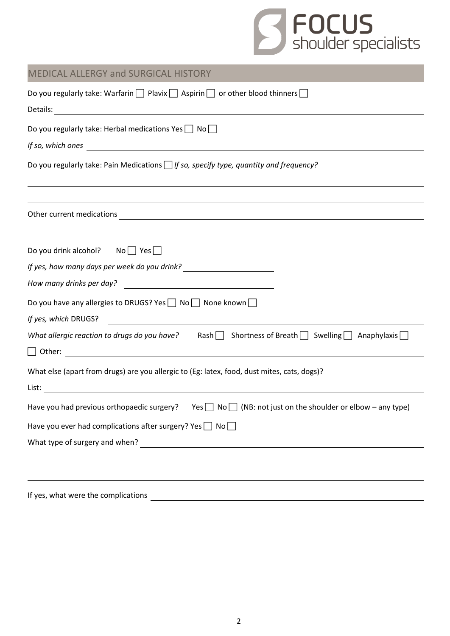

## MEDICAL ALLERGY and SURGICAL HISTORY

| Do you regularly take: Warfarin $\Box$ Plavix $\Box$ Aspirin $\Box$ or other blood thinners $\Box$                                                                                                                                                                                                                                                      |  |  |  |  |  |
|---------------------------------------------------------------------------------------------------------------------------------------------------------------------------------------------------------------------------------------------------------------------------------------------------------------------------------------------------------|--|--|--|--|--|
| Do you regularly take: Herbal medications Yes \[ No \]<br>If so, which ones $\overline{\phantom{a}}$                                                                                                                                                                                                                                                    |  |  |  |  |  |
| Do you regularly take: Pain Medications $\Box$ If so, specify type, quantity and frequency?                                                                                                                                                                                                                                                             |  |  |  |  |  |
| <u> 1989 - Johann Stoff, deutscher Stoffen und der Stoffen und der Stoffen und der Stoffen und der Stoffen und de</u><br>Other current medications experience of the contract of the contract of the contract of the contract of the contract of the contract of the contract of the contract of the contract of the contract of the contract of the co |  |  |  |  |  |
| Do you drink alcohol? No $\Box$ Yes $\Box$                                                                                                                                                                                                                                                                                                              |  |  |  |  |  |
| If yes, how many days per week do you drink? ___________________________________                                                                                                                                                                                                                                                                        |  |  |  |  |  |
| Do you have any allergies to DRUGS? Yes $\Box$ No $\Box$ None known $\Box$<br>If yes, which DRUGS?<br><u> 1980 - John Barnett, fransk politiker (d. 1980)</u>                                                                                                                                                                                           |  |  |  |  |  |
| What allergic reaction to drugs do you have? Rash Shortness of Breath Swelling Anaphylaxis $\Box$                                                                                                                                                                                                                                                       |  |  |  |  |  |
| What else (apart from drugs) are you allergic to (Eg: latex, food, dust mites, cats, dogs)?                                                                                                                                                                                                                                                             |  |  |  |  |  |
| Have you had previous orthopaedic surgery? Yes $\Box$ No $\Box$ (NB: not just on the shoulder or elbow – any type)                                                                                                                                                                                                                                      |  |  |  |  |  |
| Have you ever had complications after surgery? Yes $\Box$ No $\Box$                                                                                                                                                                                                                                                                                     |  |  |  |  |  |
| What type of surgery and when?                                                                                                                                                                                                                                                                                                                          |  |  |  |  |  |
|                                                                                                                                                                                                                                                                                                                                                         |  |  |  |  |  |
| If yes, what were the complications<br><u> 1989 - Johann Stein, marking and de Britain and de Britain and de Britain and de Britain and de Britain and d</u>                                                                                                                                                                                            |  |  |  |  |  |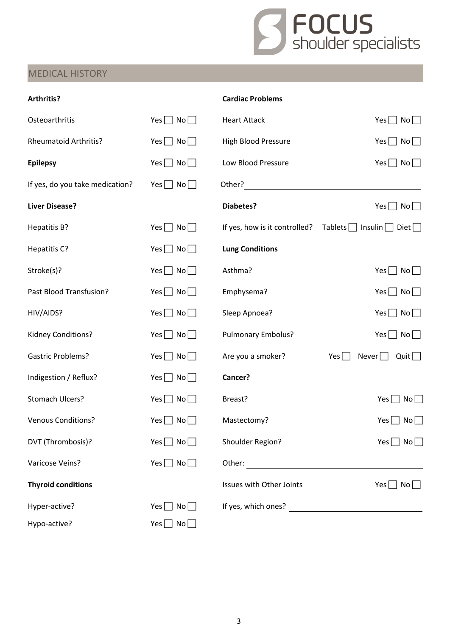

## MEDICAL HISTORY

| Arthritis?                      |                      | <b>Cardiac Problems</b>       |                                          |
|---------------------------------|----------------------|-------------------------------|------------------------------------------|
| Osteoarthritis                  | Yes $\Box$ No $\Box$ | <b>Heart Attack</b>           | Yes $\Box$ No $\Box$                     |
| <b>Rheumatoid Arthritis?</b>    | Yes $\Box$ No $\Box$ | High Blood Pressure           | Yes $\Box$ No $\Box$                     |
| <b>Epilepsy</b>                 | Yes $\Box$ No $\Box$ | Low Blood Pressure            | $Yes \Box No \Box$                       |
| If yes, do you take medication? | $Yes \Box No \Box$   | Other?                        |                                          |
| <b>Liver Disease?</b>           |                      | <b>Diabetes?</b>              | Yes $\Box$ No $\Box$                     |
| Hepatitis B?                    | Yes $\Box$ No $\Box$ | If yes, how is it controlled? | $Tablets$   Insulin   Diet               |
| Hepatitis C?                    | Yes $\Box$ No $\Box$ | <b>Lung Conditions</b>        |                                          |
| Stroke(s)?                      | Yes $\Box$ No $\Box$ | Asthma?                       | Yes $\Box$ No $\Box$                     |
| Past Blood Transfusion?         | Yes $\Box$ No $\Box$ | Emphysema?                    | $Yes \Box No \Box$                       |
| HIV/AIDS?                       | Yes $\Box$ No $\Box$ | Sleep Apnoea?                 | Yes $\Box$ No $\Box$                     |
| Kidney Conditions?              | Yes $\Box$ No $\Box$ | Pulmonary Embolus?            | Yes $\Box$ No $\Box$                     |
| <b>Gastric Problems?</b>        | Yes $\Box$ No $\Box$ | Are you a smoker?             | Quit $\Box$<br>Yes<br>Never $\Box$       |
| Indigestion / Reflux?           | $Yes \Box No \Box$   | Cancer?                       |                                          |
| Stomach Ulcers?                 | $Yes \Box No \Box$   | Breast?                       | Yes $\Box$ No $\Box$                     |
| <b>Venous Conditions?</b>       | Yes $\Box$ No $\Box$ | Mastectomy?                   | $Yes$    <br>$No$                        |
| DVT (Thrombosis)?               | Yes $\Box$ No $\Box$ | Shoulder Region?              | $Yes \Box No \Box$                       |
| Varicose Veins?                 | Yes $\Box$ No $\Box$ |                               |                                          |
| <b>Thyroid conditions</b>       |                      | Issues with Other Joints      | $Yes \nightharpoonup No \nightharpoonup$ |
| Hyper-active?                   | Yes $\Box$ No $\Box$ |                               |                                          |
| Hypo-active?                    | Yes $\Box$ No $\Box$ |                               |                                          |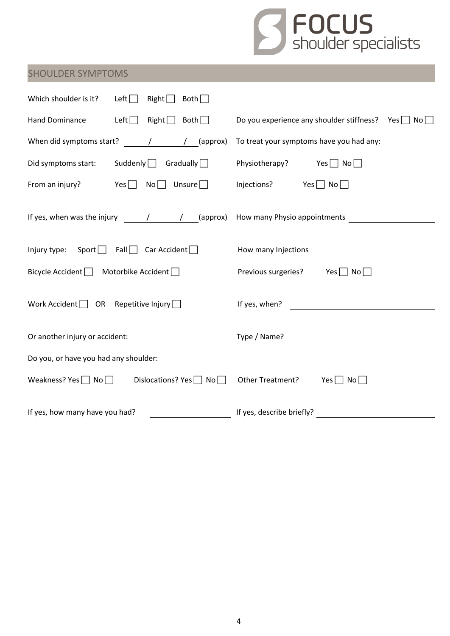

# SHOULDER SYMPTOMS

| Which shoulder is it?<br>Left $\Box$<br>$Right \Box$<br>Both $\Box$                                                                                                                                                                                                                                                                                                                                       |                                                                |  |  |  |
|-----------------------------------------------------------------------------------------------------------------------------------------------------------------------------------------------------------------------------------------------------------------------------------------------------------------------------------------------------------------------------------------------------------|----------------------------------------------------------------|--|--|--|
| Left $\Box$<br>$Right \n\begin{bmatrix} 1 & 1 \\ 0 & 1 \end{bmatrix}$<br>Hand Dominance                                                                                                                                                                                                                                                                                                                   | Do you experience any shoulder stiffness? Yes $\Box$ No $\Box$ |  |  |  |
| When did symptoms start? $\sqrt{2}$ / (approx)                                                                                                                                                                                                                                                                                                                                                            | To treat your symptoms have you had any:                       |  |  |  |
| Did symptoms start:<br>Suddenly $\Box$ Gradually $\Box$                                                                                                                                                                                                                                                                                                                                                   | Physiotherapy? Yes $\Box$ No $\Box$                            |  |  |  |
| From an injury? Yes $\Box$ No $\Box$ Unsure $\Box$                                                                                                                                                                                                                                                                                                                                                        | Injections? $Yes \Box No \Box$                                 |  |  |  |
| If yes, when was the injury $\frac{1}{\sqrt{1-\frac{1}{\sqrt{1-\frac{1}{\sqrt{1-\frac{1}{\sqrt{1-\frac{1}{\sqrt{1-\frac{1}{\sqrt{1-\frac{1}{\sqrt{1-\frac{1}{\sqrt{1-\frac{1}{\sqrt{1-\frac{1}{\sqrt{1-\frac{1}{\sqrt{1-\frac{1}{\sqrt{1-\frac{1}{\sqrt{1-\frac{1}{\sqrt{1-\frac{1}{\sqrt{1-\frac{1}{\sqrt{1-\frac{1}{\sqrt{1-\frac{1}{\sqrt{1-\frac{1}{\sqrt{1-\frac{1}{\sqrt{1-\frac{1}{\sqrt{1-\frac{$ |                                                                |  |  |  |
| Injury type: Sport $\Box$ Fall $\Box$ Car Accident $\Box$                                                                                                                                                                                                                                                                                                                                                 | How many Injections                                            |  |  |  |
| Bicycle Accident $\Box$ Motorbike Accident $\Box$                                                                                                                                                                                                                                                                                                                                                         | Previous surgeries? Yes $\Box$ No $\Box$                       |  |  |  |
| Work Accident $\Box$ OR Repetitive Injury $\Box$                                                                                                                                                                                                                                                                                                                                                          | If yes, when? $\qquad \qquad$                                  |  |  |  |
| <u> 1990 - Johann Barbara, martin a</u><br>Or another injury or accident:                                                                                                                                                                                                                                                                                                                                 |                                                                |  |  |  |
| Do you, or have you had any shoulder:                                                                                                                                                                                                                                                                                                                                                                     |                                                                |  |  |  |
| Weakness? Yes $\Box$ No $\Box$ Dislocations? Yes $\Box$ No $\Box$                                                                                                                                                                                                                                                                                                                                         | Other Treatment?<br>Yes $\Box$ No $\Box$                       |  |  |  |
| If yes, how many have you had?                                                                                                                                                                                                                                                                                                                                                                            | If yes, describe briefly?                                      |  |  |  |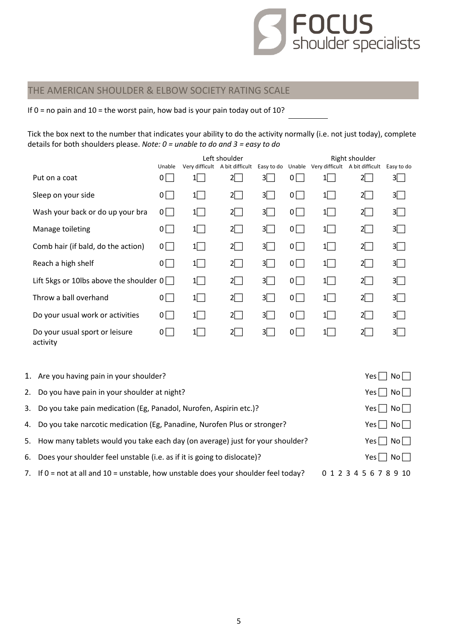

### THE AMERICAN SHOULDER & ELBOW SOCIETY RATING SCALE

If  $0 =$  no pain and  $10 =$  the worst pain, how bad is your pain today out of 10?

Tick the box next to the number that indicates your ability to do the activity normally (i.e. not just today), complete details for both shoulders please. *Note: 0 = unable to do and 3 = easy to do*

|                                            |                |           | Left shoulder                  |            |             |                                                  | Right shoulder |                |
|--------------------------------------------|----------------|-----------|--------------------------------|------------|-------------|--------------------------------------------------|----------------|----------------|
|                                            | Unable         |           | Very difficult A bit difficult |            |             | Easy to do Unable Very difficult A bit difficult |                | Easy to do     |
| Put on a coat                              | 0 <sup>1</sup> | 1         | $2\Box$                        | 3 $\Box$   | $0\sqrt{ }$ | 1                                                | $2\Box$        | $3\Box$        |
| Sleep on your side                         | $0 \mid$       | $1 \vert$ | $2\Box$                        | 3 <b>N</b> | $0$         | $1 \vert$                                        | $2\Box$        | 3              |
| Wash your back or do up your bra           | $0$            | $1 \vert$ | $2\Box$                        | 31 I       | 0           | $1 \vert$                                        | $2\Box$        | 3              |
| Manage toileting                           | $0$            | 1         | $2\Box$                        | $3\Box$    | 0           | 1                                                | $2\Box$        | 3 <sup>7</sup> |
| Comb hair (if bald, do the action)         | $0$            | $1 \vert$ | $2\Box$                        | 31 I       | 0           | 1                                                | $2\Box$        | 3              |
| Reach a high shelf                         | $0$            | $1\Box$   | $2\Box$                        | 3          | 0           | $1\Box$                                          | $2\Box$        | 3 <sup>7</sup> |
| Lift 5kgs or 10lbs above the shoulder $0$  |                | 1         | $2\Box$                        | $3\Box$    | $0$         | 1                                                | $2\Box$        | $3\Box$        |
| Throw a ball overhand                      | $0$            | 1         | $2\Box$                        | 3          | 0           | $1\Box$                                          | $2\Box$        | 3 <sup>7</sup> |
| Do your usual work or activities           | 0              | $1 \vert$ | $2\Box$                        | 3          | 0           | 1                                                | $2\Box$        | 3 <sup>1</sup> |
| Do your usual sport or leisure<br>activity | 0              | $1 \vert$ | $2\Box$                        | 31 I       | 0           | $1 \vert$                                        | $2\Box$        | 3              |

| 1. Are you having pain in your shoulder?                                                | Yes $\Box$ No $\Box$   |
|-----------------------------------------------------------------------------------------|------------------------|
| 2. Do you have pain in your shoulder at night?                                          | $Yes \Box No \Box$     |
| 3. Do you take pain medication (Eg, Panadol, Nurofen, Aspirin etc.)?                    | $Yes \Box No \Box$     |
| 4. Do you take narcotic medication (Eg, Panadine, Nurofen Plus or stronger?             | $Yes \Box No \Box$     |
| 5. How many tablets would you take each day (on average) just for your shoulder?        | Yes $\Box$ No $\Box$   |
| 6. Does your shoulder feel unstable (i.e. as if it is going to dislocate)?              | Yes     No             |
| 7. If $0 =$ not at all and $10 =$ unstable, how unstable does your shoulder feel today? | 0 1 2 3 4 5 6 7 8 9 10 |